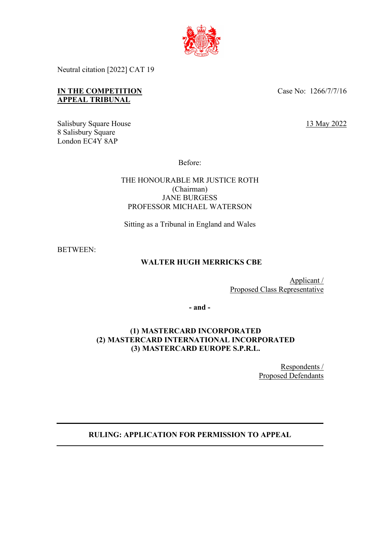

Neutral citation [2022] CAT 19

# **IN THE COMPETITION APPEAL TRIBUNAL**

Salisbury Square House 8 Salisbury Square London EC4Y 8AP

Case No: 1266/7/7/16

13 May 2022

Before:

# THE HONOURABLE MR JUSTICE ROTH (Chairman) JANE BURGESS PROFESSOR MICHAEL WATERSON

Sitting as a Tribunal in England and Wales

BETWEEN:

# **WALTER HUGH MERRICKS CBE**

Applicant / Proposed Class Representative

**- and -**

# **(1) MASTERCARD INCORPORATED (2) MASTERCARD INTERNATIONAL INCORPORATED (3) MASTERCARD EUROPE S.P.R.L.**

Respondents / Proposed Defendants

# **RULING: APPLICATION FOR PERMISSION TO APPEAL**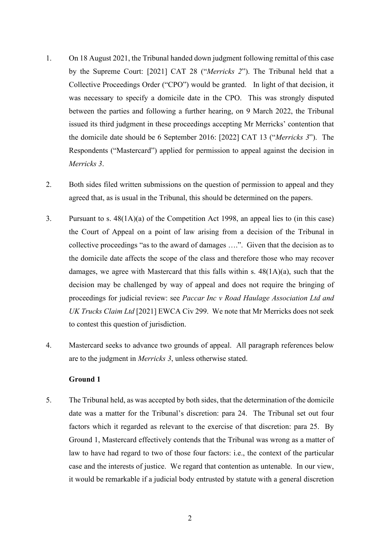- 1. On 18 August 2021, the Tribunal handed down judgment following remittal of this case by the Supreme Court: [2021] CAT 28 ("*Merricks 2*"). The Tribunal held that a Collective Proceedings Order ("CPO") would be granted. In light of that decision, it was necessary to specify a domicile date in the CPO. This was strongly disputed between the parties and following a further hearing, on 9 March 2022, the Tribunal issued its third judgment in these proceedings accepting Mr Merricks' contention that the domicile date should be 6 September 2016: [2022] CAT 13 ("*Merricks 3*"). The Respondents ("Mastercard") applied for permission to appeal against the decision in *Merricks 3*.
- 2. Both sides filed written submissions on the question of permission to appeal and they agreed that, as is usual in the Tribunal, this should be determined on the papers.
- 3. Pursuant to s. 48(1A)(a) of the Competition Act 1998, an appeal lies to (in this case) the Court of Appeal on a point of law arising from a decision of the Tribunal in collective proceedings "as to the award of damages ….". Given that the decision as to the domicile date affects the scope of the class and therefore those who may recover damages, we agree with Mastercard that this falls within s. 48(1A)(a), such that the decision may be challenged by way of appeal and does not require the bringing of proceedings for judicial review: see *Paccar Inc v Road Haulage Association Ltd and UK Trucks Claim Ltd* [2021] EWCA Civ 299. We note that Mr Merricks does not seek to contest this question of jurisdiction.
- 4. Mastercard seeks to advance two grounds of appeal. All paragraph references below are to the judgment in *Merricks 3*, unless otherwise stated.

#### **Ground 1**

5. The Tribunal held, as was accepted by both sides, that the determination of the domicile date was a matter for the Tribunal's discretion: para 24. The Tribunal set out four factors which it regarded as relevant to the exercise of that discretion: para 25. By Ground 1, Mastercard effectively contends that the Tribunal was wrong as a matter of law to have had regard to two of those four factors: i.e., the context of the particular case and the interests of justice. We regard that contention as untenable. In our view, it would be remarkable if a judicial body entrusted by statute with a general discretion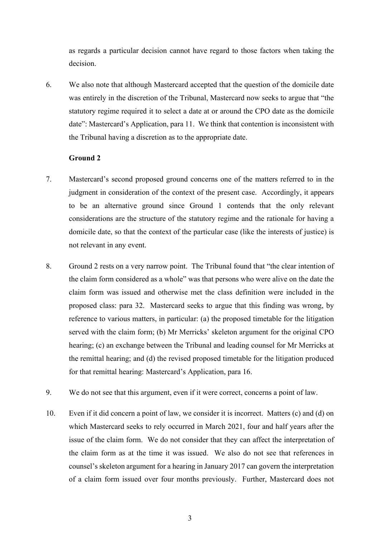as regards a particular decision cannot have regard to those factors when taking the decision.

6. We also note that although Mastercard accepted that the question of the domicile date was entirely in the discretion of the Tribunal, Mastercard now seeks to argue that "the statutory regime required it to select a date at or around the CPO date as the domicile date": Mastercard's Application, para 11. We think that contention is inconsistent with the Tribunal having a discretion as to the appropriate date.

### **Ground 2**

- 7. Mastercard's second proposed ground concerns one of the matters referred to in the judgment in consideration of the context of the present case. Accordingly, it appears to be an alternative ground since Ground 1 contends that the only relevant considerations are the structure of the statutory regime and the rationale for having a domicile date, so that the context of the particular case (like the interests of justice) is not relevant in any event.
- 8. Ground 2 rests on a very narrow point. The Tribunal found that "the clear intention of the claim form considered as a whole" was that persons who were alive on the date the claim form was issued and otherwise met the class definition were included in the proposed class: para 32. Mastercard seeks to argue that this finding was wrong, by reference to various matters, in particular: (a) the proposed timetable for the litigation served with the claim form; (b) Mr Merricks' skeleton argument for the original CPO hearing; (c) an exchange between the Tribunal and leading counsel for Mr Merricks at the remittal hearing; and (d) the revised proposed timetable for the litigation produced for that remittal hearing: Mastercard's Application, para 16.
- 9. We do not see that this argument, even if it were correct, concerns a point of law.
- 10. Even if it did concern a point of law, we consider it is incorrect. Matters (c) and (d) on which Mastercard seeks to rely occurred in March 2021, four and half years after the issue of the claim form. We do not consider that they can affect the interpretation of the claim form as at the time it was issued. We also do not see that references in counsel's skeleton argument for a hearing in January 2017 can govern the interpretation of a claim form issued over four months previously. Further, Mastercard does not